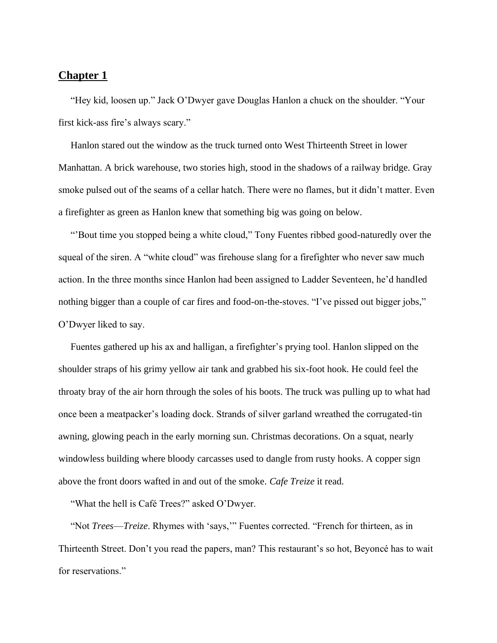# **Chapter 1**

 "Hey kid, loosen up." Jack O'Dwyer gave Douglas Hanlon a chuck on the shoulder. "Your first kick-ass fire's always scary."

 Hanlon stared out the window as the truck turned onto West Thirteenth Street in lower Manhattan. A brick warehouse, two stories high, stood in the shadows of a railway bridge. Gray smoke pulsed out of the seams of a cellar hatch. There were no flames, but it didn't matter. Even a firefighter as green as Hanlon knew that something big was going on below.

 "'Bout time you stopped being a white cloud," Tony Fuentes ribbed good-naturedly over the squeal of the siren. A "white cloud" was firehouse slang for a firefighter who never saw much action. In the three months since Hanlon had been assigned to Ladder Seventeen, he'd handled nothing bigger than a couple of car fires and food-on-the-stoves. "I've pissed out bigger jobs," O'Dwyer liked to say.

 Fuentes gathered up his ax and halligan, a firefighter's prying tool. Hanlon slipped on the shoulder straps of his grimy yellow air tank and grabbed his six-foot hook. He could feel the throaty bray of the air horn through the soles of his boots. The truck was pulling up to what had once been a meatpacker's loading dock. Strands of silver garland wreathed the corrugated-tin awning, glowing peach in the early morning sun. Christmas decorations. On a squat, nearly windowless building where bloody carcasses used to dangle from rusty hooks. A copper sign above the front doors wafted in and out of the smoke. *Cafe Treize* it read.

"What the hell is Café Trees?" asked O'Dwyer.

 "Not *Trees*—*Treize*. Rhymes with 'says,'" Fuentes corrected. "French for thirteen, as in Thirteenth Street. Don't you read the papers, man? This restaurant's so hot, Beyoncé has to wait for reservations."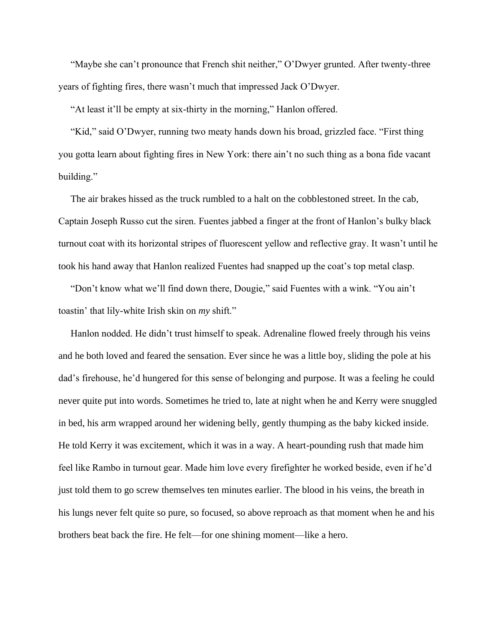"Maybe she can't pronounce that French shit neither," O'Dwyer grunted. After twenty-three years of fighting fires, there wasn't much that impressed Jack O'Dwyer.

"At least it'll be empty at six-thirty in the morning," Hanlon offered.

 "Kid," said O'Dwyer, running two meaty hands down his broad, grizzled face. "First thing you gotta learn about fighting fires in New York: there ain't no such thing as a bona fide vacant building."

 The air brakes hissed as the truck rumbled to a halt on the cobblestoned street. In the cab, Captain Joseph Russo cut the siren. Fuentes jabbed a finger at the front of Hanlon's bulky black turnout coat with its horizontal stripes of fluorescent yellow and reflective gray. It wasn't until he took his hand away that Hanlon realized Fuentes had snapped up the coat's top metal clasp.

 "Don't know what we'll find down there, Dougie," said Fuentes with a wink. "You ain't toastin' that lily-white Irish skin on *my* shift."

Hanlon nodded. He didn't trust himself to speak. Adrenaline flowed freely through his veins and he both loved and feared the sensation. Ever since he was a little boy, sliding the pole at his dad's firehouse, he'd hungered for this sense of belonging and purpose. It was a feeling he could never quite put into words. Sometimes he tried to, late at night when he and Kerry were snuggled in bed, his arm wrapped around her widening belly, gently thumping as the baby kicked inside. He told Kerry it was excitement, which it was in a way. A heart-pounding rush that made him feel like Rambo in turnout gear. Made him love every firefighter he worked beside, even if he'd just told them to go screw themselves ten minutes earlier. The blood in his veins, the breath in his lungs never felt quite so pure, so focused, so above reproach as that moment when he and his brothers beat back the fire. He felt—for one shining moment—like a hero.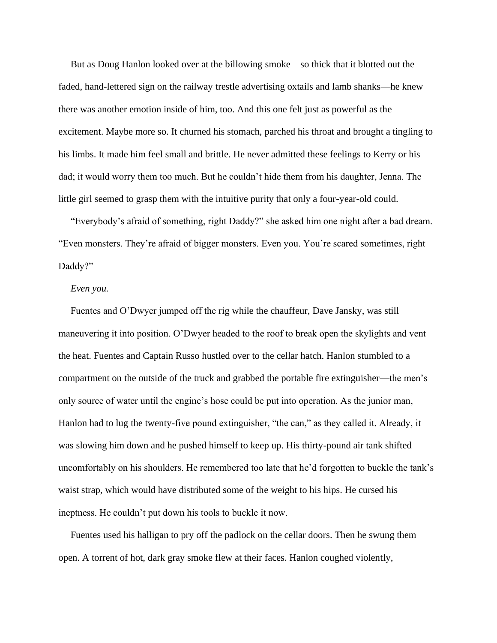But as Doug Hanlon looked over at the billowing smoke—so thick that it blotted out the faded, hand-lettered sign on the railway trestle advertising oxtails and lamb shanks—he knew there was another emotion inside of him, too. And this one felt just as powerful as the excitement. Maybe more so. It churned his stomach, parched his throat and brought a tingling to his limbs. It made him feel small and brittle. He never admitted these feelings to Kerry or his dad; it would worry them too much. But he couldn't hide them from his daughter, Jenna. The little girl seemed to grasp them with the intuitive purity that only a four-year-old could.

 "Everybody's afraid of something, right Daddy?" she asked him one night after a bad dream. "Even monsters. They're afraid of bigger monsters. Even you. You're scared sometimes, right Daddy?"

#### *Even you.*

 Fuentes and O'Dwyer jumped off the rig while the chauffeur, Dave Jansky, was still maneuvering it into position. O'Dwyer headed to the roof to break open the skylights and vent the heat. Fuentes and Captain Russo hustled over to the cellar hatch. Hanlon stumbled to a compartment on the outside of the truck and grabbed the portable fire extinguisher—the men's only source of water until the engine's hose could be put into operation. As the junior man, Hanlon had to lug the twenty-five pound extinguisher, "the can," as they called it. Already, it was slowing him down and he pushed himself to keep up. His thirty-pound air tank shifted uncomfortably on his shoulders. He remembered too late that he'd forgotten to buckle the tank's waist strap, which would have distributed some of the weight to his hips. He cursed his ineptness. He couldn't put down his tools to buckle it now.

 Fuentes used his halligan to pry off the padlock on the cellar doors. Then he swung them open. A torrent of hot, dark gray smoke flew at their faces. Hanlon coughed violently,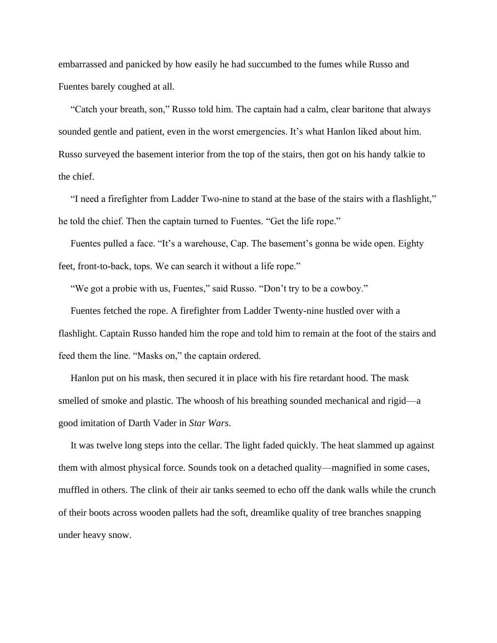embarrassed and panicked by how easily he had succumbed to the fumes while Russo and Fuentes barely coughed at all.

 "Catch your breath, son," Russo told him. The captain had a calm, clear baritone that always sounded gentle and patient, even in the worst emergencies. It's what Hanlon liked about him. Russo surveyed the basement interior from the top of the stairs, then got on his handy talkie to the chief.

 "I need a firefighter from Ladder Two-nine to stand at the base of the stairs with a flashlight," he told the chief. Then the captain turned to Fuentes. "Get the life rope."

 Fuentes pulled a face. "It's a warehouse, Cap. The basement's gonna be wide open. Eighty feet, front-to-back, tops. We can search it without a life rope."

"We got a probie with us, Fuentes," said Russo. "Don't try to be a cowboy."

 Fuentes fetched the rope. A firefighter from Ladder Twenty-nine hustled over with a flashlight. Captain Russo handed him the rope and told him to remain at the foot of the stairs and feed them the line. "Masks on," the captain ordered.

 Hanlon put on his mask, then secured it in place with his fire retardant hood. The mask smelled of smoke and plastic. The whoosh of his breathing sounded mechanical and rigid—a good imitation of Darth Vader in *Star Wars*.

 It was twelve long steps into the cellar. The light faded quickly. The heat slammed up against them with almost physical force. Sounds took on a detached quality—magnified in some cases, muffled in others. The clink of their air tanks seemed to echo off the dank walls while the crunch of their boots across wooden pallets had the soft, dreamlike quality of tree branches snapping under heavy snow.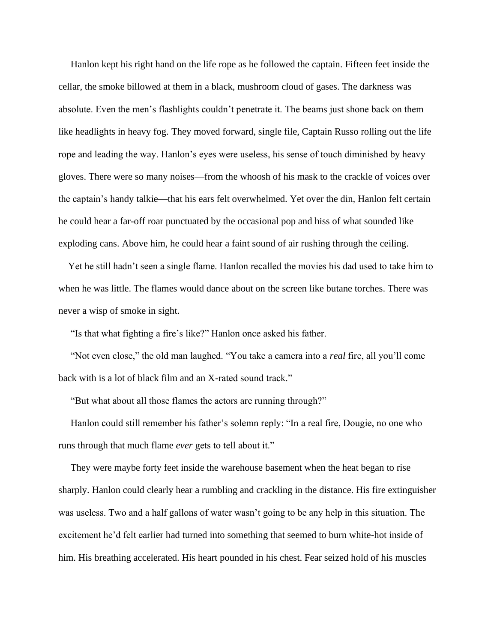Hanlon kept his right hand on the life rope as he followed the captain. Fifteen feet inside the cellar, the smoke billowed at them in a black, mushroom cloud of gases. The darkness was absolute. Even the men's flashlights couldn't penetrate it. The beams just shone back on them like headlights in heavy fog. They moved forward, single file, Captain Russo rolling out the life rope and leading the way. Hanlon's eyes were useless, his sense of touch diminished by heavy gloves. There were so many noises—from the whoosh of his mask to the crackle of voices over the captain's handy talkie—that his ears felt overwhelmed. Yet over the din, Hanlon felt certain he could hear a far-off roar punctuated by the occasional pop and hiss of what sounded like exploding cans. Above him, he could hear a faint sound of air rushing through the ceiling.

 Yet he still hadn't seen a single flame. Hanlon recalled the movies his dad used to take him to when he was little. The flames would dance about on the screen like butane torches. There was never a wisp of smoke in sight.

"Is that what fighting a fire's like?" Hanlon once asked his father.

 "Not even close," the old man laughed. "You take a camera into a *real* fire, all you'll come back with is a lot of black film and an X-rated sound track."

"But what about all those flames the actors are running through?"

 Hanlon could still remember his father's solemn reply: "In a real fire, Dougie, no one who runs through that much flame *ever* gets to tell about it."

 They were maybe forty feet inside the warehouse basement when the heat began to rise sharply. Hanlon could clearly hear a rumbling and crackling in the distance. His fire extinguisher was useless. Two and a half gallons of water wasn't going to be any help in this situation. The excitement he'd felt earlier had turned into something that seemed to burn white-hot inside of him. His breathing accelerated. His heart pounded in his chest. Fear seized hold of his muscles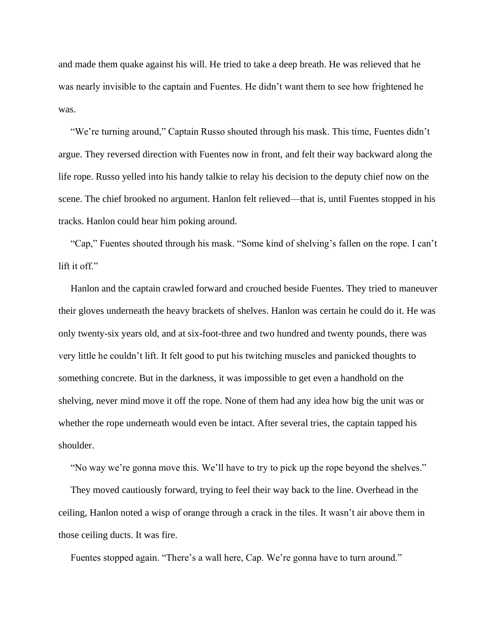and made them quake against his will. He tried to take a deep breath. He was relieved that he was nearly invisible to the captain and Fuentes. He didn't want them to see how frightened he was.

 "We're turning around," Captain Russo shouted through his mask. This time, Fuentes didn't argue. They reversed direction with Fuentes now in front, and felt their way backward along the life rope. Russo yelled into his handy talkie to relay his decision to the deputy chief now on the scene. The chief brooked no argument. Hanlon felt relieved—that is, until Fuentes stopped in his tracks. Hanlon could hear him poking around.

 "Cap," Fuentes shouted through his mask. "Some kind of shelving's fallen on the rope. I can't lift it off."

 Hanlon and the captain crawled forward and crouched beside Fuentes. They tried to maneuver their gloves underneath the heavy brackets of shelves. Hanlon was certain he could do it. He was only twenty-six years old, and at six-foot-three and two hundred and twenty pounds, there was very little he couldn't lift. It felt good to put his twitching muscles and panicked thoughts to something concrete. But in the darkness, it was impossible to get even a handhold on the shelving, never mind move it off the rope. None of them had any idea how big the unit was or whether the rope underneath would even be intact. After several tries, the captain tapped his shoulder.

"No way we're gonna move this. We'll have to try to pick up the rope beyond the shelves."

 They moved cautiously forward, trying to feel their way back to the line. Overhead in the ceiling, Hanlon noted a wisp of orange through a crack in the tiles. It wasn't air above them in those ceiling ducts. It was fire.

Fuentes stopped again. "There's a wall here, Cap. We're gonna have to turn around."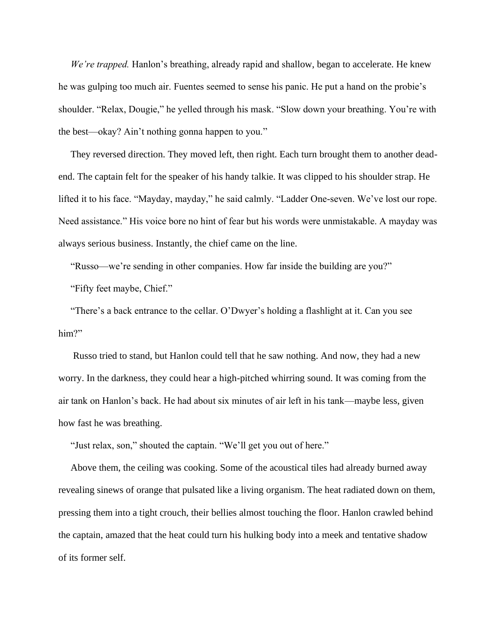*We're trapped.* Hanlon's breathing, already rapid and shallow, began to accelerate. He knew he was gulping too much air. Fuentes seemed to sense his panic. He put a hand on the probie's shoulder. "Relax, Dougie," he yelled through his mask. "Slow down your breathing. You're with the best—okay? Ain't nothing gonna happen to you."

 They reversed direction. They moved left, then right. Each turn brought them to another deadend. The captain felt for the speaker of his handy talkie. It was clipped to his shoulder strap. He lifted it to his face. "Mayday, mayday," he said calmly. "Ladder One-seven. We've lost our rope. Need assistance." His voice bore no hint of fear but his words were unmistakable. A mayday was always serious business. Instantly, the chief came on the line.

 "Russo—we're sending in other companies. How far inside the building are you?" "Fifty feet maybe, Chief."

 "There's a back entrance to the cellar. O'Dwyer's holding a flashlight at it. Can you see him?"

 Russo tried to stand, but Hanlon could tell that he saw nothing. And now, they had a new worry. In the darkness, they could hear a high-pitched whirring sound. It was coming from the air tank on Hanlon's back. He had about six minutes of air left in his tank—maybe less, given how fast he was breathing.

"Just relax, son," shouted the captain. "We'll get you out of here."

 Above them, the ceiling was cooking. Some of the acoustical tiles had already burned away revealing sinews of orange that pulsated like a living organism. The heat radiated down on them, pressing them into a tight crouch, their bellies almost touching the floor. Hanlon crawled behind the captain, amazed that the heat could turn his hulking body into a meek and tentative shadow of its former self.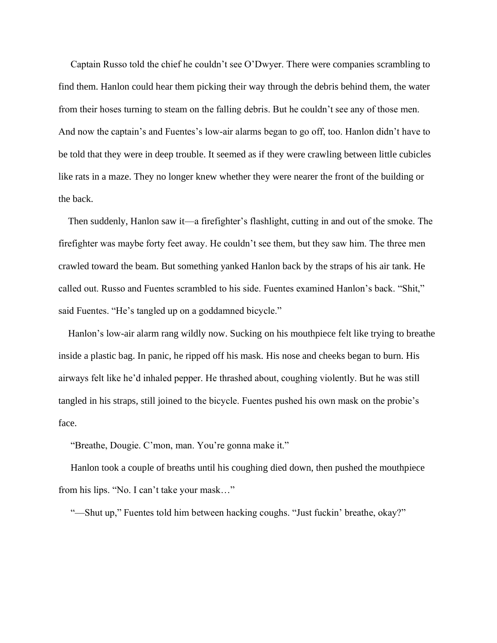Captain Russo told the chief he couldn't see O'Dwyer. There were companies scrambling to find them. Hanlon could hear them picking their way through the debris behind them, the water from their hoses turning to steam on the falling debris. But he couldn't see any of those men. And now the captain's and Fuentes's low-air alarms began to go off, too. Hanlon didn't have to be told that they were in deep trouble. It seemed as if they were crawling between little cubicles like rats in a maze. They no longer knew whether they were nearer the front of the building or the back.

 Then suddenly, Hanlon saw it—a firefighter's flashlight, cutting in and out of the smoke. The firefighter was maybe forty feet away. He couldn't see them, but they saw him. The three men crawled toward the beam. But something yanked Hanlon back by the straps of his air tank. He called out. Russo and Fuentes scrambled to his side. Fuentes examined Hanlon's back. "Shit," said Fuentes. "He's tangled up on a goddamned bicycle."

 Hanlon's low-air alarm rang wildly now. Sucking on his mouthpiece felt like trying to breathe inside a plastic bag. In panic, he ripped off his mask. His nose and cheeks began to burn. His airways felt like he'd inhaled pepper. He thrashed about, coughing violently. But he was still tangled in his straps, still joined to the bicycle. Fuentes pushed his own mask on the probie's face.

"Breathe, Dougie. C'mon, man. You're gonna make it."

 Hanlon took a couple of breaths until his coughing died down, then pushed the mouthpiece from his lips. "No. I can't take your mask…"

"—Shut up," Fuentes told him between hacking coughs. "Just fuckin' breathe, okay?"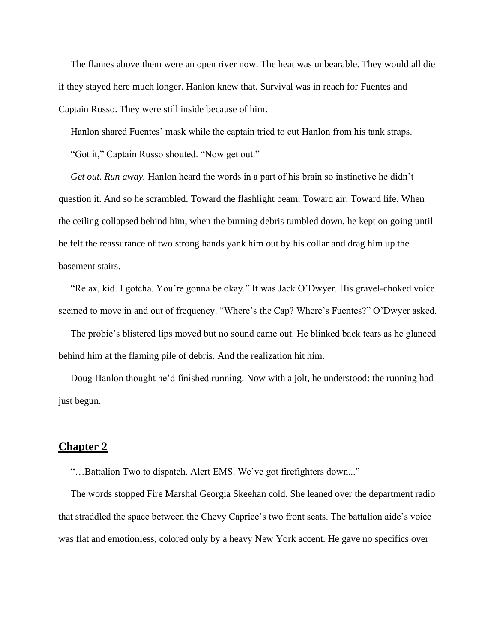The flames above them were an open river now. The heat was unbearable. They would all die if they stayed here much longer. Hanlon knew that. Survival was in reach for Fuentes and Captain Russo. They were still inside because of him.

 Hanlon shared Fuentes' mask while the captain tried to cut Hanlon from his tank straps. "Got it," Captain Russo shouted. "Now get out."

 *Get out. Run away.* Hanlon heard the words in a part of his brain so instinctive he didn't question it. And so he scrambled. Toward the flashlight beam. Toward air. Toward life. When the ceiling collapsed behind him, when the burning debris tumbled down, he kept on going until he felt the reassurance of two strong hands yank him out by his collar and drag him up the basement stairs.

 "Relax, kid. I gotcha. You're gonna be okay." It was Jack O'Dwyer. His gravel-choked voice seemed to move in and out of frequency. "Where's the Cap? Where's Fuentes?" O'Dwyer asked.

 The probie's blistered lips moved but no sound came out. He blinked back tears as he glanced behind him at the flaming pile of debris. And the realization hit him.

 Doug Hanlon thought he'd finished running. Now with a jolt, he understood: the running had just begun.

#### **Chapter 2**

"…Battalion Two to dispatch. Alert EMS. We've got firefighters down..."

 The words stopped Fire Marshal Georgia Skeehan cold. She leaned over the department radio that straddled the space between the Chevy Caprice's two front seats. The battalion aide's voice was flat and emotionless, colored only by a heavy New York accent. He gave no specifics over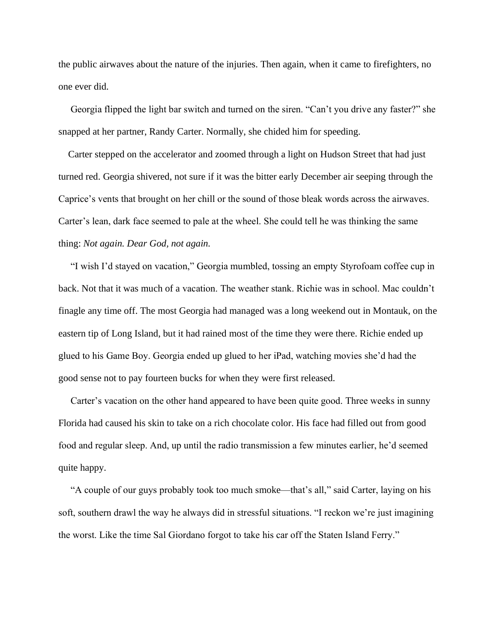the public airwaves about the nature of the injuries. Then again, when it came to firefighters, no one ever did.

 Georgia flipped the light bar switch and turned on the siren. "Can't you drive any faster?" she snapped at her partner, Randy Carter. Normally, she chided him for speeding.

 Carter stepped on the accelerator and zoomed through a light on Hudson Street that had just turned red. Georgia shivered, not sure if it was the bitter early December air seeping through the Caprice's vents that brought on her chill or the sound of those bleak words across the airwaves. Carter's lean, dark face seemed to pale at the wheel. She could tell he was thinking the same thing: *Not again. Dear God, not again.*

 "I wish I'd stayed on vacation," Georgia mumbled, tossing an empty Styrofoam coffee cup in back. Not that it was much of a vacation. The weather stank. Richie was in school. Mac couldn't finagle any time off. The most Georgia had managed was a long weekend out in Montauk, on the eastern tip of Long Island, but it had rained most of the time they were there. Richie ended up glued to his Game Boy. Georgia ended up glued to her iPad, watching movies she'd had the good sense not to pay fourteen bucks for when they were first released.

 Carter's vacation on the other hand appeared to have been quite good. Three weeks in sunny Florida had caused his skin to take on a rich chocolate color. His face had filled out from good food and regular sleep. And, up until the radio transmission a few minutes earlier, he'd seemed quite happy.

 "A couple of our guys probably took too much smoke—that's all," said Carter, laying on his soft, southern drawl the way he always did in stressful situations. "I reckon we're just imagining the worst. Like the time Sal Giordano forgot to take his car off the Staten Island Ferry."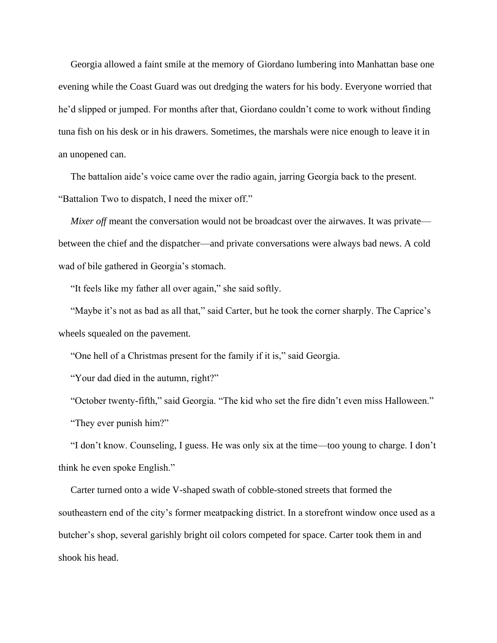Georgia allowed a faint smile at the memory of Giordano lumbering into Manhattan base one evening while the Coast Guard was out dredging the waters for his body. Everyone worried that he'd slipped or jumped. For months after that, Giordano couldn't come to work without finding tuna fish on his desk or in his drawers. Sometimes, the marshals were nice enough to leave it in an unopened can.

 The battalion aide's voice came over the radio again, jarring Georgia back to the present. "Battalion Two to dispatch, I need the mixer off."

*Mixer off* meant the conversation would not be broadcast over the airwaves. It was private between the chief and the dispatcher—and private conversations were always bad news. A cold wad of bile gathered in Georgia's stomach.

"It feels like my father all over again," she said softly.

 "Maybe it's not as bad as all that," said Carter, but he took the corner sharply. The Caprice's wheels squealed on the pavement.

"One hell of a Christmas present for the family if it is," said Georgia.

"Your dad died in the autumn, right?"

 "October twenty-fifth," said Georgia. "The kid who set the fire didn't even miss Halloween." "They ever punish him?"

 "I don't know. Counseling, I guess. He was only six at the time—too young to charge. I don't think he even spoke English."

 Carter turned onto a wide V-shaped swath of cobble-stoned streets that formed the southeastern end of the city's former meatpacking district. In a storefront window once used as a butcher's shop, several garishly bright oil colors competed for space. Carter took them in and shook his head.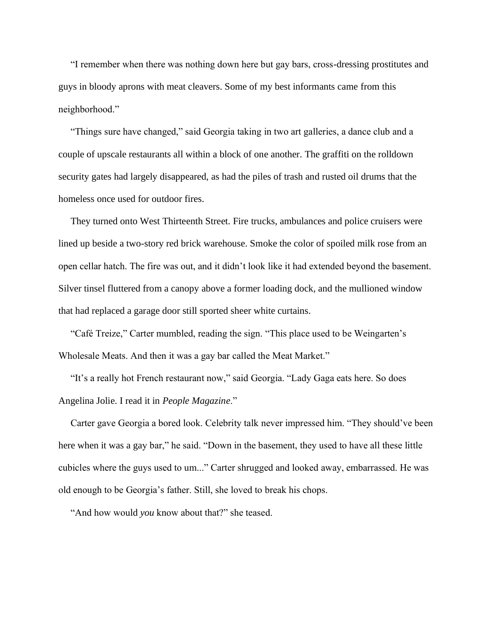"I remember when there was nothing down here but gay bars, cross-dressing prostitutes and guys in bloody aprons with meat cleavers. Some of my best informants came from this neighborhood."

 "Things sure have changed," said Georgia taking in two art galleries, a dance club and a couple of upscale restaurants all within a block of one another. The graffiti on the rolldown security gates had largely disappeared, as had the piles of trash and rusted oil drums that the homeless once used for outdoor fires.

 They turned onto West Thirteenth Street. Fire trucks, ambulances and police cruisers were lined up beside a two-story red brick warehouse. Smoke the color of spoiled milk rose from an open cellar hatch. The fire was out, and it didn't look like it had extended beyond the basement. Silver tinsel fluttered from a canopy above a former loading dock, and the mullioned window that had replaced a garage door still sported sheer white curtains.

 "Café Treize," Carter mumbled, reading the sign. "This place used to be Weingarten's Wholesale Meats. And then it was a gay bar called the Meat Market."

 "It's a really hot French restaurant now," said Georgia. "Lady Gaga eats here. So does Angelina Jolie. I read it in *People Magazine*."

 Carter gave Georgia a bored look. Celebrity talk never impressed him. "They should've been here when it was a gay bar," he said. "Down in the basement, they used to have all these little cubicles where the guys used to um..." Carter shrugged and looked away, embarrassed. He was old enough to be Georgia's father. Still, she loved to break his chops.

"And how would *you* know about that?" she teased.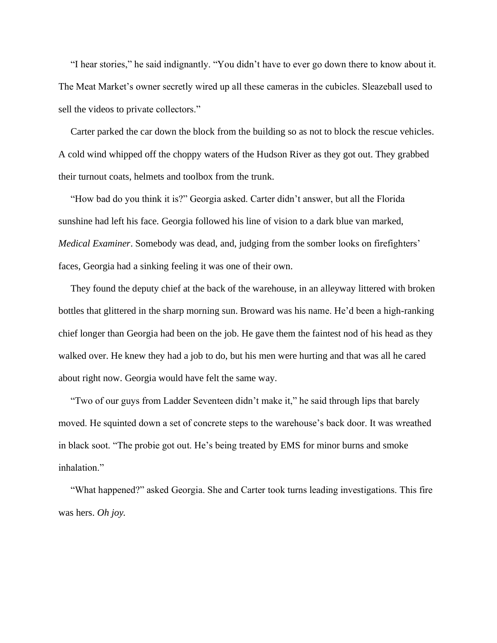"I hear stories," he said indignantly. "You didn't have to ever go down there to know about it. The Meat Market's owner secretly wired up all these cameras in the cubicles. Sleazeball used to sell the videos to private collectors."

 Carter parked the car down the block from the building so as not to block the rescue vehicles. A cold wind whipped off the choppy waters of the Hudson River as they got out. They grabbed their turnout coats, helmets and toolbox from the trunk.

 "How bad do you think it is?" Georgia asked. Carter didn't answer, but all the Florida sunshine had left his face. Georgia followed his line of vision to a dark blue van marked, *Medical Examiner*. Somebody was dead, and, judging from the somber looks on firefighters' faces, Georgia had a sinking feeling it was one of their own.

 They found the deputy chief at the back of the warehouse, in an alleyway littered with broken bottles that glittered in the sharp morning sun. Broward was his name. He'd been a high-ranking chief longer than Georgia had been on the job. He gave them the faintest nod of his head as they walked over. He knew they had a job to do, but his men were hurting and that was all he cared about right now. Georgia would have felt the same way.

 "Two of our guys from Ladder Seventeen didn't make it," he said through lips that barely moved. He squinted down a set of concrete steps to the warehouse's back door. It was wreathed in black soot. "The probie got out. He's being treated by EMS for minor burns and smoke inhalation."

 "What happened?" asked Georgia. She and Carter took turns leading investigations. This fire was hers. *Oh joy.*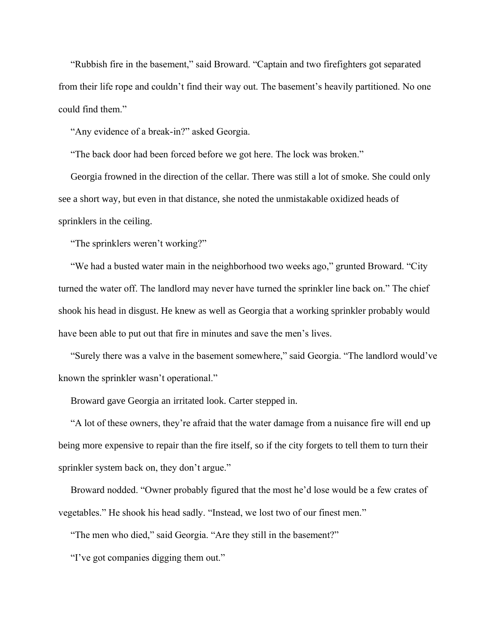"Rubbish fire in the basement," said Broward. "Captain and two firefighters got separated from their life rope and couldn't find their way out. The basement's heavily partitioned. No one could find them."

"Any evidence of a break-in?" asked Georgia.

"The back door had been forced before we got here. The lock was broken."

 Georgia frowned in the direction of the cellar. There was still a lot of smoke. She could only see a short way, but even in that distance, she noted the unmistakable oxidized heads of sprinklers in the ceiling.

"The sprinklers weren't working?"

 "We had a busted water main in the neighborhood two weeks ago," grunted Broward. "City turned the water off. The landlord may never have turned the sprinkler line back on." The chief shook his head in disgust. He knew as well as Georgia that a working sprinkler probably would have been able to put out that fire in minutes and save the men's lives.

 "Surely there was a valve in the basement somewhere," said Georgia. "The landlord would've known the sprinkler wasn't operational."

Broward gave Georgia an irritated look. Carter stepped in.

 "A lot of these owners, they're afraid that the water damage from a nuisance fire will end up being more expensive to repair than the fire itself, so if the city forgets to tell them to turn their sprinkler system back on, they don't argue."

 Broward nodded. "Owner probably figured that the most he'd lose would be a few crates of vegetables." He shook his head sadly. "Instead, we lost two of our finest men."

"The men who died," said Georgia. "Are they still in the basement?"

"I've got companies digging them out."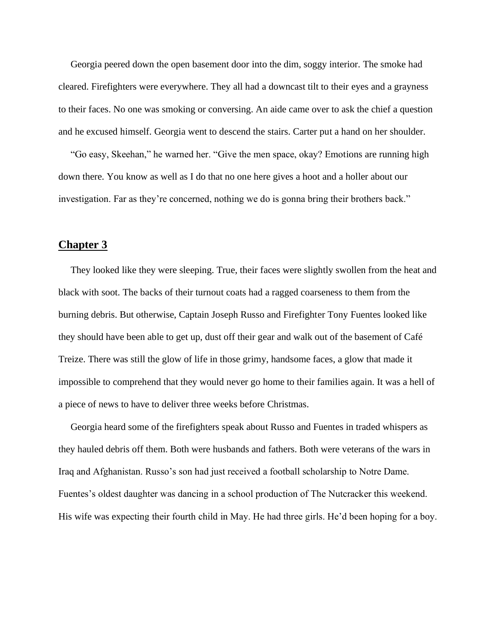Georgia peered down the open basement door into the dim, soggy interior. The smoke had cleared. Firefighters were everywhere. They all had a downcast tilt to their eyes and a grayness to their faces. No one was smoking or conversing. An aide came over to ask the chief a question and he excused himself. Georgia went to descend the stairs. Carter put a hand on her shoulder.

 "Go easy, Skeehan," he warned her. "Give the men space, okay? Emotions are running high down there. You know as well as I do that no one here gives a hoot and a holler about our investigation. Far as they're concerned, nothing we do is gonna bring their brothers back."

# **Chapter 3**

 They looked like they were sleeping. True, their faces were slightly swollen from the heat and black with soot. The backs of their turnout coats had a ragged coarseness to them from the burning debris. But otherwise, Captain Joseph Russo and Firefighter Tony Fuentes looked like they should have been able to get up, dust off their gear and walk out of the basement of Café Treize. There was still the glow of life in those grimy, handsome faces, a glow that made it impossible to comprehend that they would never go home to their families again. It was a hell of a piece of news to have to deliver three weeks before Christmas.

 Georgia heard some of the firefighters speak about Russo and Fuentes in traded whispers as they hauled debris off them. Both were husbands and fathers. Both were veterans of the wars in Iraq and Afghanistan. Russo's son had just received a football scholarship to Notre Dame. Fuentes's oldest daughter was dancing in a school production of The Nutcracker this weekend. His wife was expecting their fourth child in May. He had three girls. He'd been hoping for a boy.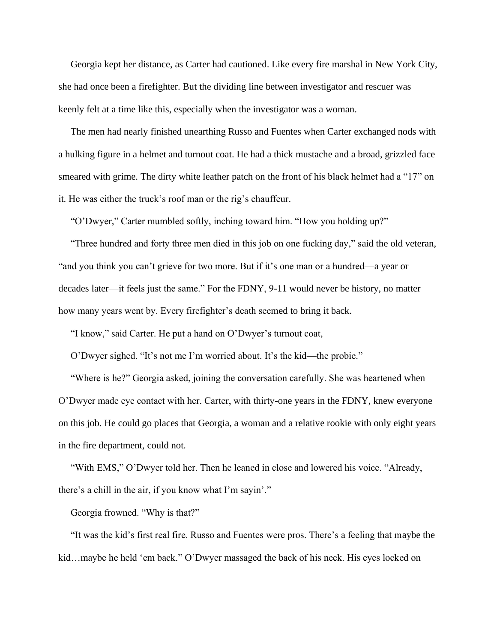Georgia kept her distance, as Carter had cautioned. Like every fire marshal in New York City, she had once been a firefighter. But the dividing line between investigator and rescuer was keenly felt at a time like this, especially when the investigator was a woman.

 The men had nearly finished unearthing Russo and Fuentes when Carter exchanged nods with a hulking figure in a helmet and turnout coat. He had a thick mustache and a broad, grizzled face smeared with grime. The dirty white leather patch on the front of his black helmet had a "17" on it. He was either the truck's roof man or the rig's chauffeur.

"O'Dwyer," Carter mumbled softly, inching toward him. "How you holding up?"

 "Three hundred and forty three men died in this job on one fucking day," said the old veteran, "and you think you can't grieve for two more. But if it's one man or a hundred—a year or decades later—it feels just the same." For the FDNY, 9-11 would never be history, no matter how many years went by. Every firefighter's death seemed to bring it back.

"I know," said Carter. He put a hand on O'Dwyer's turnout coat,

O'Dwyer sighed. "It's not me I'm worried about. It's the kid—the probie."

 "Where is he?" Georgia asked, joining the conversation carefully. She was heartened when O'Dwyer made eye contact with her. Carter, with thirty-one years in the FDNY, knew everyone on this job. He could go places that Georgia, a woman and a relative rookie with only eight years in the fire department, could not.

"With EMS," O'Dwyer told her. Then he leaned in close and lowered his voice. "Already, there's a chill in the air, if you know what I'm sayin'."

Georgia frowned. "Why is that?"

 "It was the kid's first real fire. Russo and Fuentes were pros. There's a feeling that maybe the kid…maybe he held 'em back." O'Dwyer massaged the back of his neck. His eyes locked on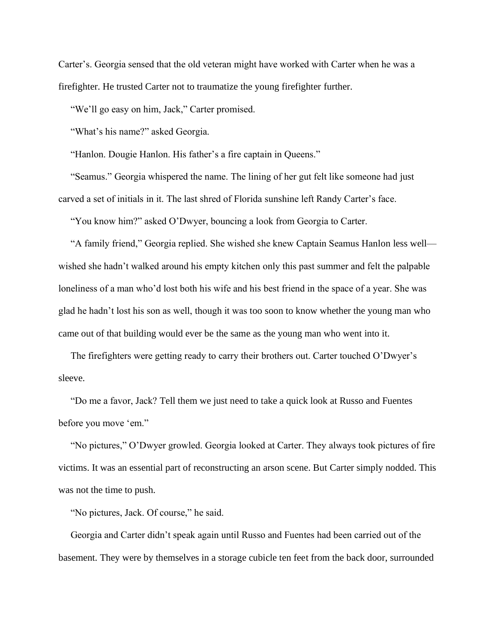Carter's. Georgia sensed that the old veteran might have worked with Carter when he was a firefighter. He trusted Carter not to traumatize the young firefighter further.

"We'll go easy on him, Jack," Carter promised.

"What's his name?" asked Georgia.

"Hanlon. Dougie Hanlon. His father's a fire captain in Queens."

 "Seamus." Georgia whispered the name. The lining of her gut felt like someone had just carved a set of initials in it. The last shred of Florida sunshine left Randy Carter's face.

"You know him?" asked O'Dwyer, bouncing a look from Georgia to Carter.

 "A family friend," Georgia replied. She wished she knew Captain Seamus Hanlon less well wished she hadn't walked around his empty kitchen only this past summer and felt the palpable loneliness of a man who'd lost both his wife and his best friend in the space of a year. She was glad he hadn't lost his son as well, though it was too soon to know whether the young man who came out of that building would ever be the same as the young man who went into it.

 The firefighters were getting ready to carry their brothers out. Carter touched O'Dwyer's sleeve.

 "Do me a favor, Jack? Tell them we just need to take a quick look at Russo and Fuentes before you move 'em."

 "No pictures," O'Dwyer growled. Georgia looked at Carter. They always took pictures of fire victims. It was an essential part of reconstructing an arson scene. But Carter simply nodded. This was not the time to push.

"No pictures, Jack. Of course," he said.

 Georgia and Carter didn't speak again until Russo and Fuentes had been carried out of the basement. They were by themselves in a storage cubicle ten feet from the back door, surrounded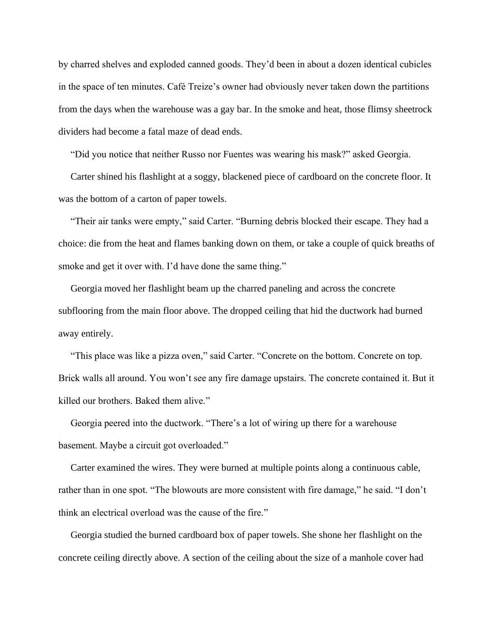by charred shelves and exploded canned goods. They'd been in about a dozen identical cubicles in the space of ten minutes. Café Treize's owner had obviously never taken down the partitions from the days when the warehouse was a gay bar. In the smoke and heat, those flimsy sheetrock dividers had become a fatal maze of dead ends.

"Did you notice that neither Russo nor Fuentes was wearing his mask?" asked Georgia.

 Carter shined his flashlight at a soggy, blackened piece of cardboard on the concrete floor. It was the bottom of a carton of paper towels.

 "Their air tanks were empty," said Carter. "Burning debris blocked their escape. They had a choice: die from the heat and flames banking down on them, or take a couple of quick breaths of smoke and get it over with. I'd have done the same thing."

 Georgia moved her flashlight beam up the charred paneling and across the concrete subflooring from the main floor above. The dropped ceiling that hid the ductwork had burned away entirely.

 "This place was like a pizza oven," said Carter. "Concrete on the bottom. Concrete on top. Brick walls all around. You won't see any fire damage upstairs. The concrete contained it. But it killed our brothers. Baked them alive."

 Georgia peered into the ductwork. "There's a lot of wiring up there for a warehouse basement. Maybe a circuit got overloaded."

 Carter examined the wires. They were burned at multiple points along a continuous cable, rather than in one spot. "The blowouts are more consistent with fire damage," he said. "I don't think an electrical overload was the cause of the fire."

 Georgia studied the burned cardboard box of paper towels. She shone her flashlight on the concrete ceiling directly above. A section of the ceiling about the size of a manhole cover had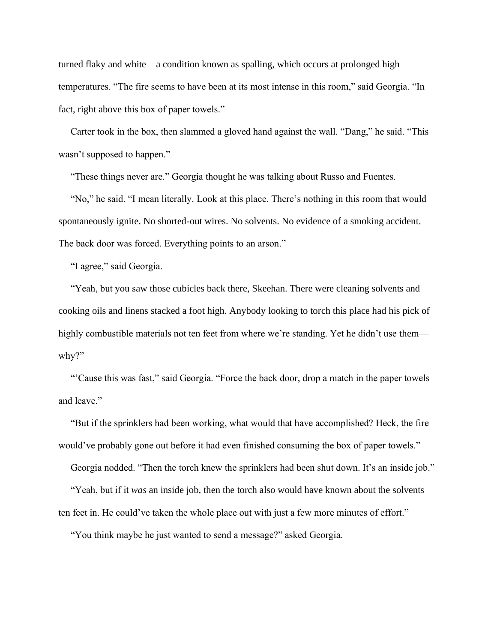turned flaky and white—a condition known as spalling, which occurs at prolonged high temperatures. "The fire seems to have been at its most intense in this room," said Georgia. "In fact, right above this box of paper towels."

 Carter took in the box, then slammed a gloved hand against the wall. "Dang," he said. "This wasn't supposed to happen."

"These things never are." Georgia thought he was talking about Russo and Fuentes.

 "No," he said. "I mean literally. Look at this place. There's nothing in this room that would spontaneously ignite. No shorted-out wires. No solvents. No evidence of a smoking accident. The back door was forced. Everything points to an arson."

"I agree," said Georgia.

 "Yeah, but you saw those cubicles back there, Skeehan. There were cleaning solvents and cooking oils and linens stacked a foot high. Anybody looking to torch this place had his pick of highly combustible materials not ten feet from where we're standing. Yet he didn't use them why?"

"'Cause this was fast," said Georgia. "Force the back door, drop a match in the paper towels and leave."

 "But if the sprinklers had been working, what would that have accomplished? Heck, the fire would've probably gone out before it had even finished consuming the box of paper towels."

Georgia nodded. "Then the torch knew the sprinklers had been shut down. It's an inside job."

 "Yeah, but if it *was* an inside job, then the torch also would have known about the solvents ten feet in. He could've taken the whole place out with just a few more minutes of effort."

"You think maybe he just wanted to send a message?" asked Georgia.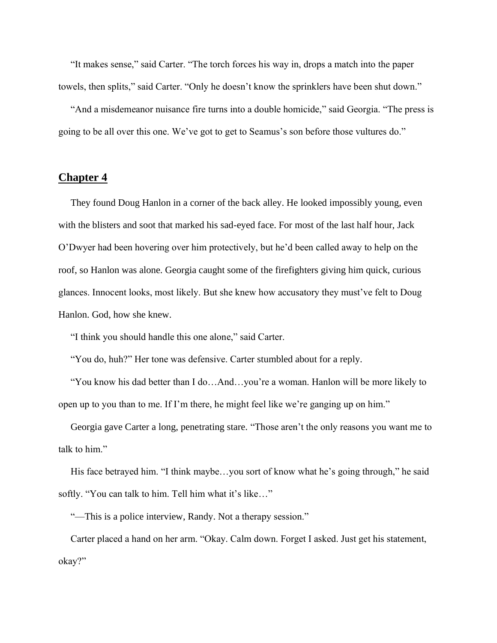"It makes sense," said Carter. "The torch forces his way in, drops a match into the paper towels, then splits," said Carter. "Only he doesn't know the sprinklers have been shut down."

 "And a misdemeanor nuisance fire turns into a double homicide," said Georgia. "The press is going to be all over this one. We've got to get to Seamus's son before those vultures do."

# **Chapter 4**

 They found Doug Hanlon in a corner of the back alley. He looked impossibly young, even with the blisters and soot that marked his sad-eyed face. For most of the last half hour, Jack O'Dwyer had been hovering over him protectively, but he'd been called away to help on the roof, so Hanlon was alone. Georgia caught some of the firefighters giving him quick, curious glances. Innocent looks, most likely. But she knew how accusatory they must've felt to Doug Hanlon. God, how she knew.

"I think you should handle this one alone," said Carter.

"You do, huh?" Her tone was defensive. Carter stumbled about for a reply.

 "You know his dad better than I do…And…you're a woman. Hanlon will be more likely to open up to you than to me. If I'm there, he might feel like we're ganging up on him."

 Georgia gave Carter a long, penetrating stare. "Those aren't the only reasons you want me to talk to him."

His face betrayed him. "I think maybe...you sort of know what he's going through," he said softly. "You can talk to him. Tell him what it's like…"

"—This is a police interview, Randy. Not a therapy session."

 Carter placed a hand on her arm. "Okay. Calm down. Forget I asked. Just get his statement, okay?"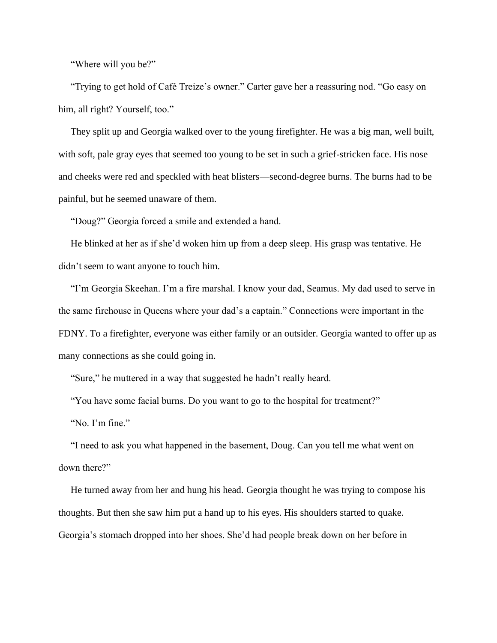"Where will you be?"

 "Trying to get hold of Café Treize's owner." Carter gave her a reassuring nod. "Go easy on him, all right? Yourself, too."

 They split up and Georgia walked over to the young firefighter. He was a big man, well built, with soft, pale gray eyes that seemed too young to be set in such a grief-stricken face. His nose and cheeks were red and speckled with heat blisters—second-degree burns. The burns had to be painful, but he seemed unaware of them.

"Doug?" Georgia forced a smile and extended a hand.

 He blinked at her as if she'd woken him up from a deep sleep. His grasp was tentative. He didn't seem to want anyone to touch him.

 "I'm Georgia Skeehan. I'm a fire marshal. I know your dad, Seamus. My dad used to serve in the same firehouse in Queens where your dad's a captain." Connections were important in the FDNY. To a firefighter, everyone was either family or an outsider. Georgia wanted to offer up as many connections as she could going in.

"Sure," he muttered in a way that suggested he hadn't really heard.

"You have some facial burns. Do you want to go to the hospital for treatment?"

"No. I'm fine."

 "I need to ask you what happened in the basement, Doug. Can you tell me what went on down there?"

 He turned away from her and hung his head. Georgia thought he was trying to compose his thoughts. But then she saw him put a hand up to his eyes. His shoulders started to quake. Georgia's stomach dropped into her shoes. She'd had people break down on her before in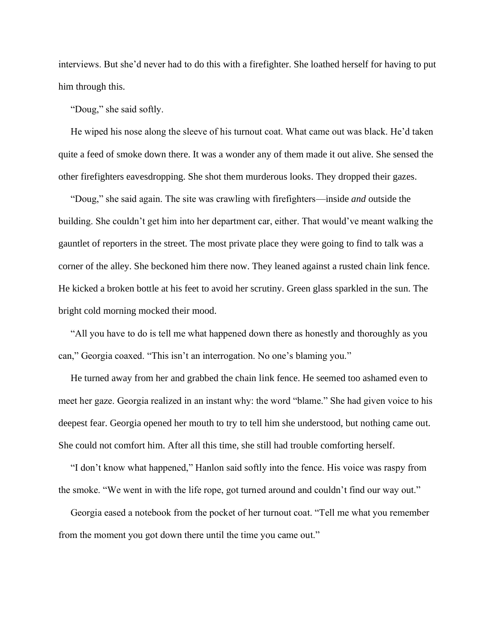interviews. But she'd never had to do this with a firefighter. She loathed herself for having to put him through this.

"Doug," she said softly.

 He wiped his nose along the sleeve of his turnout coat. What came out was black. He'd taken quite a feed of smoke down there. It was a wonder any of them made it out alive. She sensed the other firefighters eavesdropping. She shot them murderous looks. They dropped their gazes.

 "Doug," she said again. The site was crawling with firefighters—inside *and* outside the building. She couldn't get him into her department car, either. That would've meant walking the gauntlet of reporters in the street. The most private place they were going to find to talk was a corner of the alley. She beckoned him there now. They leaned against a rusted chain link fence. He kicked a broken bottle at his feet to avoid her scrutiny. Green glass sparkled in the sun. The bright cold morning mocked their mood.

 "All you have to do is tell me what happened down there as honestly and thoroughly as you can," Georgia coaxed. "This isn't an interrogation. No one's blaming you."

 He turned away from her and grabbed the chain link fence. He seemed too ashamed even to meet her gaze. Georgia realized in an instant why: the word "blame." She had given voice to his deepest fear. Georgia opened her mouth to try to tell him she understood, but nothing came out. She could not comfort him. After all this time, she still had trouble comforting herself.

 "I don't know what happened," Hanlon said softly into the fence. His voice was raspy from the smoke. "We went in with the life rope, got turned around and couldn't find our way out."

 Georgia eased a notebook from the pocket of her turnout coat. "Tell me what you remember from the moment you got down there until the time you came out."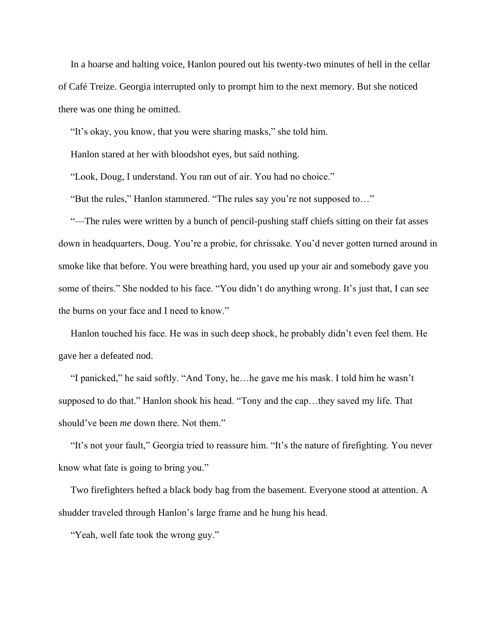In a hoarse and halting voice, Hanlon poured out his twenty-two minutes of hell in the cellar of Café Treize. Georgia interrupted only to prompt him to the next memory. But she noticed there was one thing he omitted.

"It's okay, you know, that you were sharing masks," she told him.

Hanlon stared at her with bloodshot eyes, but said nothing.

"Look, Doug, I understand. You ran out of air. You had no choice."

"But the rules," Hanlon stammered. "The rules say you're not supposed to…"

 "—The rules were written by a bunch of pencil-pushing staff chiefs sitting on their fat asses down in headquarters, Doug. You're a probie, for chrissake. You'd never gotten turned around in smoke like that before. You were breathing hard, you used up your air and somebody gave you some of theirs." She nodded to his face. "You didn't do anything wrong. It's just that, I can see the burns on your face and I need to know."

 Hanlon touched his face. He was in such deep shock, he probably didn't even feel them. He gave her a defeated nod.

 "I panicked," he said softly. "And Tony, he…he gave me his mask. I told him he wasn't supposed to do that." Hanlon shook his head. "Tony and the cap…they saved my life. That should've been *me* down there. Not them."

 "It's not your fault," Georgia tried to reassure him. "It's the nature of firefighting. You never know what fate is going to bring you."

 Two firefighters hefted a black body bag from the basement. Everyone stood at attention. A shudder traveled through Hanlon's large frame and he hung his head.

"Yeah, well fate took the wrong guy."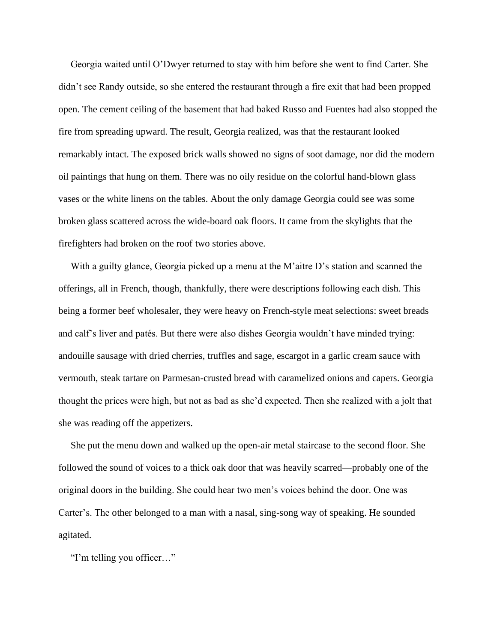Georgia waited until O'Dwyer returned to stay with him before she went to find Carter. She didn't see Randy outside, so she entered the restaurant through a fire exit that had been propped open. The cement ceiling of the basement that had baked Russo and Fuentes had also stopped the fire from spreading upward. The result, Georgia realized, was that the restaurant looked remarkably intact. The exposed brick walls showed no signs of soot damage, nor did the modern oil paintings that hung on them. There was no oily residue on the colorful hand-blown glass vases or the white linens on the tables. About the only damage Georgia could see was some broken glass scattered across the wide-board oak floors. It came from the skylights that the firefighters had broken on the roof two stories above.

With a guilty glance, Georgia picked up a menu at the M'aitre D's station and scanned the offerings, all in French, though, thankfully, there were descriptions following each dish. This being a former beef wholesaler, they were heavy on French-style meat selections: sweet breads and calf's liver and patés. But there were also dishes Georgia wouldn't have minded trying: andouille sausage with dried cherries, truffles and sage, escargot in a garlic cream sauce with vermouth, steak tartare on Parmesan-crusted bread with caramelized onions and capers. Georgia thought the prices were high, but not as bad as she'd expected. Then she realized with a jolt that she was reading off the appetizers.

 She put the menu down and walked up the open-air metal staircase to the second floor. She followed the sound of voices to a thick oak door that was heavily scarred—probably one of the original doors in the building. She could hear two men's voices behind the door. One was Carter's. The other belonged to a man with a nasal, sing-song way of speaking. He sounded agitated.

"I'm telling you officer…"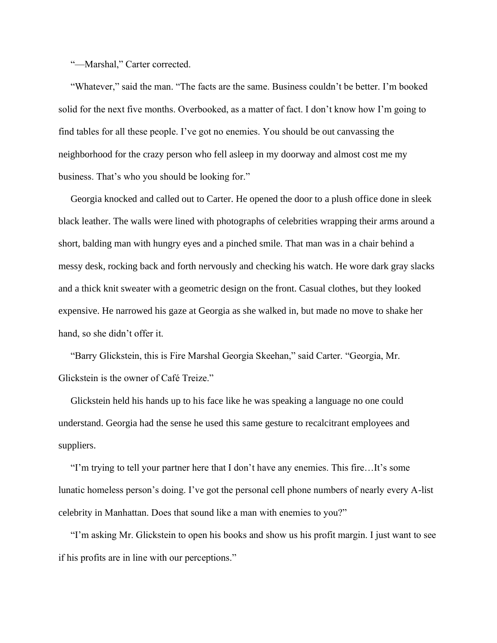"—Marshal," Carter corrected.

 "Whatever," said the man. "The facts are the same. Business couldn't be better. I'm booked solid for the next five months. Overbooked, as a matter of fact. I don't know how I'm going to find tables for all these people. I've got no enemies. You should be out canvassing the neighborhood for the crazy person who fell asleep in my doorway and almost cost me my business. That's who you should be looking for."

 Georgia knocked and called out to Carter. He opened the door to a plush office done in sleek black leather. The walls were lined with photographs of celebrities wrapping their arms around a short, balding man with hungry eyes and a pinched smile. That man was in a chair behind a messy desk, rocking back and forth nervously and checking his watch. He wore dark gray slacks and a thick knit sweater with a geometric design on the front. Casual clothes, but they looked expensive. He narrowed his gaze at Georgia as she walked in, but made no move to shake her hand, so she didn't offer it.

 "Barry Glickstein, this is Fire Marshal Georgia Skeehan," said Carter. "Georgia, Mr. Glickstein is the owner of Café Treize."

 Glickstein held his hands up to his face like he was speaking a language no one could understand. Georgia had the sense he used this same gesture to recalcitrant employees and suppliers.

 "I'm trying to tell your partner here that I don't have any enemies. This fire…It's some lunatic homeless person's doing. I've got the personal cell phone numbers of nearly every A-list celebrity in Manhattan. Does that sound like a man with enemies to you?"

 "I'm asking Mr. Glickstein to open his books and show us his profit margin. I just want to see if his profits are in line with our perceptions."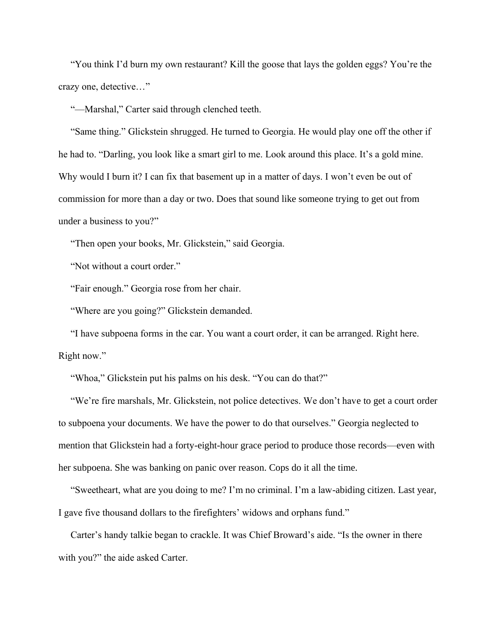"You think I'd burn my own restaurant? Kill the goose that lays the golden eggs? You're the crazy one, detective…"

"—Marshal," Carter said through clenched teeth.

 "Same thing." Glickstein shrugged. He turned to Georgia. He would play one off the other if he had to. "Darling, you look like a smart girl to me. Look around this place. It's a gold mine. Why would I burn it? I can fix that basement up in a matter of days. I won't even be out of commission for more than a day or two. Does that sound like someone trying to get out from under a business to you?"

"Then open your books, Mr. Glickstein," said Georgia.

"Not without a court order."

"Fair enough." Georgia rose from her chair.

"Where are you going?" Glickstein demanded.

 "I have subpoena forms in the car. You want a court order, it can be arranged. Right here. Right now."

"Whoa," Glickstein put his palms on his desk. "You can do that?"

 "We're fire marshals, Mr. Glickstein, not police detectives. We don't have to get a court order to subpoena your documents. We have the power to do that ourselves." Georgia neglected to mention that Glickstein had a forty-eight-hour grace period to produce those records—even with her subpoena. She was banking on panic over reason. Cops do it all the time.

 "Sweetheart, what are you doing to me? I'm no criminal. I'm a law-abiding citizen. Last year, I gave five thousand dollars to the firefighters' widows and orphans fund."

 Carter's handy talkie began to crackle. It was Chief Broward's aide. "Is the owner in there with you?" the aide asked Carter.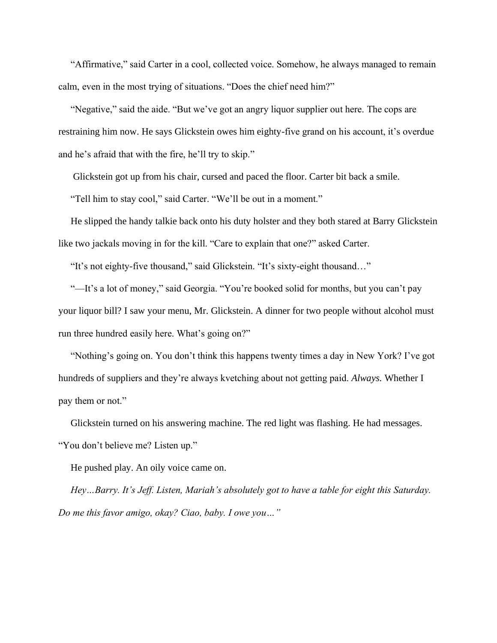"Affirmative," said Carter in a cool, collected voice. Somehow, he always managed to remain calm, even in the most trying of situations. "Does the chief need him?"

 "Negative," said the aide. "But we've got an angry liquor supplier out here. The cops are restraining him now. He says Glickstein owes him eighty-five grand on his account, it's overdue and he's afraid that with the fire, he'll try to skip."

Glickstein got up from his chair, cursed and paced the floor. Carter bit back a smile.

"Tell him to stay cool," said Carter. "We'll be out in a moment."

 He slipped the handy talkie back onto his duty holster and they both stared at Barry Glickstein like two jackals moving in for the kill. "Care to explain that one?" asked Carter.

"It's not eighty-five thousand," said Glickstein. "It's sixty-eight thousand…"

 "—It's a lot of money," said Georgia. "You're booked solid for months, but you can't pay your liquor bill? I saw your menu, Mr. Glickstein. A dinner for two people without alcohol must run three hundred easily here. What's going on?"

 "Nothing's going on. You don't think this happens twenty times a day in New York? I've got hundreds of suppliers and they're always kvetching about not getting paid. *Always.* Whether I pay them or not."

 Glickstein turned on his answering machine. The red light was flashing. He had messages. "You don't believe me? Listen up."

He pushed play. An oily voice came on.

 *Hey…Barry. It's Jeff. Listen, Mariah's absolutely got to have a table for eight this Saturday. Do me this favor amigo, okay? Ciao, baby. I owe you…"*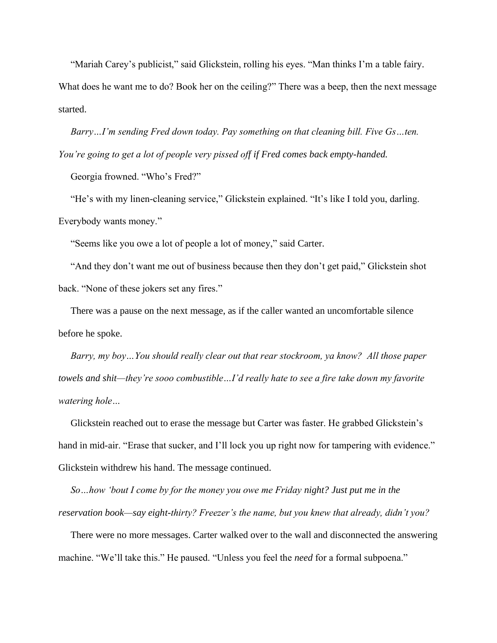"Mariah Carey's publicist," said Glickstein, rolling his eyes. "Man thinks I'm a table fairy. What does he want me to do? Book her on the ceiling?" There was a beep, then the next message started.

 *Barry…I'm sending Fred down today. Pay something on that cleaning bill. Five Gs…ten. You're going to get a lot of people very pissed off if Fred comes back empty-handed.*

Georgia frowned. "Who's Fred?"

 "He's with my linen-cleaning service," Glickstein explained. "It's like I told you, darling. Everybody wants money."

"Seems like you owe a lot of people a lot of money," said Carter.

 "And they don't want me out of business because then they don't get paid," Glickstein shot back. "None of these jokers set any fires."

 There was a pause on the next message, as if the caller wanted an uncomfortable silence before he spoke.

 *Barry, my boy…You should really clear out that rear stockroom, ya know? All those paper towels and shit—they're sooo combustible…I'd really hate to see a fire take down my favorite watering hole…*

 Glickstein reached out to erase the message but Carter was faster. He grabbed Glickstein's hand in mid-air. "Erase that sucker, and I'll lock you up right now for tampering with evidence." Glickstein withdrew his hand. The message continued.

 *So…how 'bout I come by for the money you owe me Friday night? Just put me in the reservation book—say eight-thirty? Freezer's the name, but you knew that already, didn't you?* 

 There were no more messages. Carter walked over to the wall and disconnected the answering machine. "We'll take this." He paused. "Unless you feel the *need* for a formal subpoena."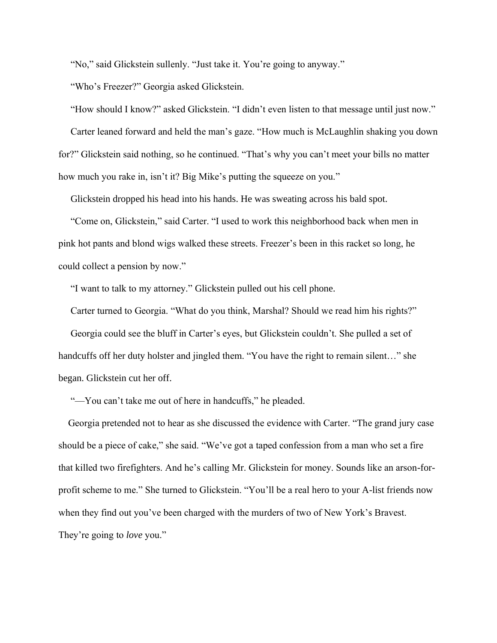"No," said Glickstein sullenly. "Just take it. You're going to anyway."

"Who's Freezer?" Georgia asked Glickstein.

 "How should I know?" asked Glickstein. "I didn't even listen to that message until just now." Carter leaned forward and held the man's gaze. "How much is McLaughlin shaking you down for?" Glickstein said nothing, so he continued. "That's why you can't meet your bills no matter how much you rake in, isn't it? Big Mike's putting the squeeze on you."

Glickstein dropped his head into his hands. He was sweating across his bald spot.

 "Come on, Glickstein," said Carter. "I used to work this neighborhood back when men in pink hot pants and blond wigs walked these streets. Freezer's been in this racket so long, he could collect a pension by now."

"I want to talk to my attorney." Glickstein pulled out his cell phone.

 Carter turned to Georgia. "What do you think, Marshal? Should we read him his rights?" Georgia could see the bluff in Carter's eyes, but Glickstein couldn't. She pulled a set of handcuffs off her duty holster and jingled them. "You have the right to remain silent..." she

began. Glickstein cut her off.

"—You can't take me out of here in handcuffs," he pleaded.

 Georgia pretended not to hear as she discussed the evidence with Carter. "The grand jury case should be a piece of cake," she said. "We've got a taped confession from a man who set a fire that killed two firefighters. And he's calling Mr. Glickstein for money. Sounds like an arson-forprofit scheme to me." She turned to Glickstein. "You'll be a real hero to your A-list friends now when they find out you've been charged with the murders of two of New York's Bravest. They're going to *love* you."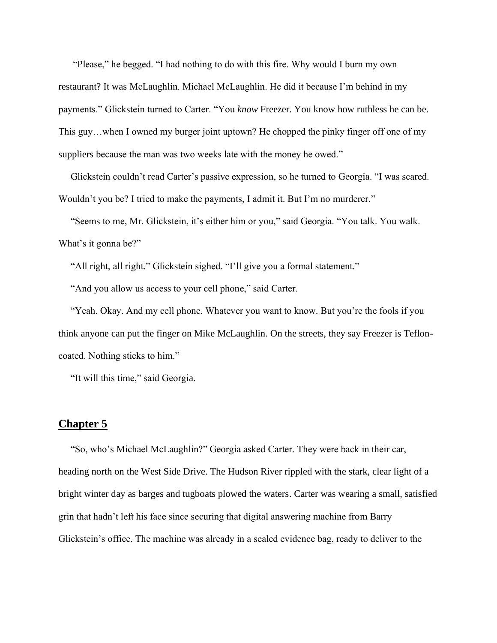"Please," he begged. "I had nothing to do with this fire. Why would I burn my own restaurant? It was McLaughlin. Michael McLaughlin. He did it because I'm behind in my payments." Glickstein turned to Carter. "You *know* Freezer. You know how ruthless he can be. This guy…when I owned my burger joint uptown? He chopped the pinky finger off one of my suppliers because the man was two weeks late with the money he owed."

 Glickstein couldn't read Carter's passive expression, so he turned to Georgia. "I was scared. Wouldn't you be? I tried to make the payments, I admit it. But I'm no murderer."

 "Seems to me, Mr. Glickstein, it's either him or you," said Georgia. "You talk. You walk. What's it gonna be?"

"All right, all right." Glickstein sighed. "I'll give you a formal statement."

"And you allow us access to your cell phone," said Carter.

 "Yeah. Okay. And my cell phone. Whatever you want to know. But you're the fools if you think anyone can put the finger on Mike McLaughlin. On the streets, they say Freezer is Tefloncoated. Nothing sticks to him."

"It will this time," said Georgia.

#### **Chapter 5**

 "So, who's Michael McLaughlin?" Georgia asked Carter. They were back in their car, heading north on the West Side Drive. The Hudson River rippled with the stark, clear light of a bright winter day as barges and tugboats plowed the waters. Carter was wearing a small, satisfied grin that hadn't left his face since securing that digital answering machine from Barry Glickstein's office. The machine was already in a sealed evidence bag, ready to deliver to the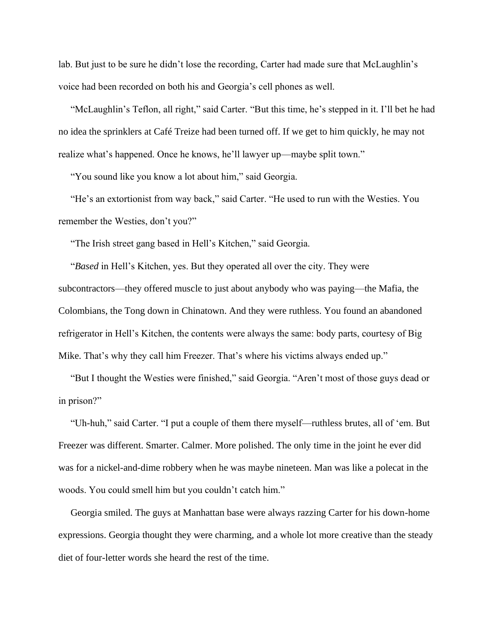lab. But just to be sure he didn't lose the recording, Carter had made sure that McLaughlin's voice had been recorded on both his and Georgia's cell phones as well.

 "McLaughlin's Teflon, all right," said Carter. "But this time, he's stepped in it. I'll bet he had no idea the sprinklers at Café Treize had been turned off. If we get to him quickly, he may not realize what's happened. Once he knows, he'll lawyer up—maybe split town."

"You sound like you know a lot about him," said Georgia.

 "He's an extortionist from way back," said Carter. "He used to run with the Westies. You remember the Westies, don't you?"

"The Irish street gang based in Hell's Kitchen," said Georgia.

 "*Based* in Hell's Kitchen, yes. But they operated all over the city. They were subcontractors—they offered muscle to just about anybody who was paying—the Mafia, the Colombians, the Tong down in Chinatown. And they were ruthless. You found an abandoned refrigerator in Hell's Kitchen, the contents were always the same: body parts, courtesy of Big Mike. That's why they call him Freezer. That's where his victims always ended up."

 "But I thought the Westies were finished," said Georgia. "Aren't most of those guys dead or in prison?"

 "Uh-huh," said Carter. "I put a couple of them there myself—ruthless brutes, all of 'em. But Freezer was different. Smarter. Calmer. More polished. The only time in the joint he ever did was for a nickel-and-dime robbery when he was maybe nineteen. Man was like a polecat in the woods. You could smell him but you couldn't catch him."

 Georgia smiled. The guys at Manhattan base were always razzing Carter for his down-home expressions. Georgia thought they were charming, and a whole lot more creative than the steady diet of four-letter words she heard the rest of the time.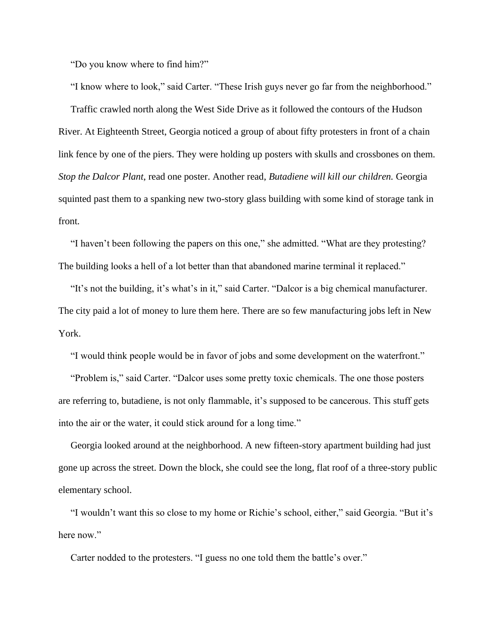"Do you know where to find him?"

 "I know where to look," said Carter. "These Irish guys never go far from the neighborhood." Traffic crawled north along the West Side Drive as it followed the contours of the Hudson River. At Eighteenth Street, Georgia noticed a group of about fifty protesters in front of a chain link fence by one of the piers. They were holding up posters with skulls and crossbones on them. *Stop the Dalcor Plant*, read one poster. Another read, *Butadiene will kill our children.* Georgia squinted past them to a spanking new two-story glass building with some kind of storage tank in front.

 "I haven't been following the papers on this one," she admitted. "What are they protesting? The building looks a hell of a lot better than that abandoned marine terminal it replaced."

 "It's not the building, it's what's in it," said Carter. "Dalcor is a big chemical manufacturer. The city paid a lot of money to lure them here. There are so few manufacturing jobs left in New York.

"I would think people would be in favor of jobs and some development on the waterfront."

 "Problem is," said Carter. "Dalcor uses some pretty toxic chemicals. The one those posters are referring to, butadiene, is not only flammable, it's supposed to be cancerous. This stuff gets into the air or the water, it could stick around for a long time."

 Georgia looked around at the neighborhood. A new fifteen-story apartment building had just gone up across the street. Down the block, she could see the long, flat roof of a three-story public elementary school.

 "I wouldn't want this so close to my home or Richie's school, either," said Georgia. "But it's here now."

Carter nodded to the protesters. "I guess no one told them the battle's over."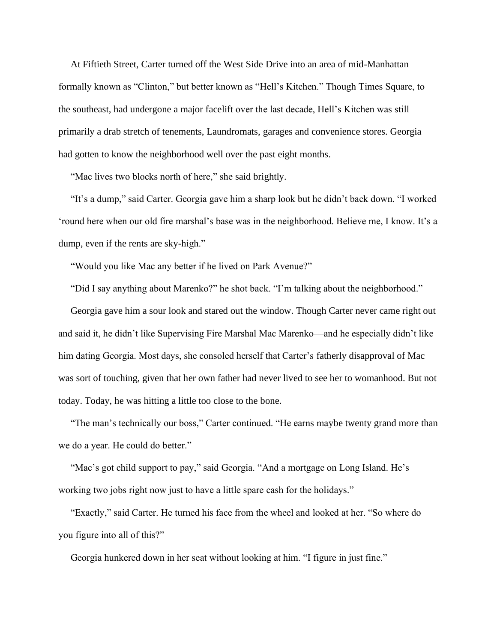At Fiftieth Street, Carter turned off the West Side Drive into an area of mid-Manhattan formally known as "Clinton," but better known as "Hell's Kitchen." Though Times Square, to the southeast, had undergone a major facelift over the last decade, Hell's Kitchen was still primarily a drab stretch of tenements, Laundromats, garages and convenience stores. Georgia had gotten to know the neighborhood well over the past eight months.

"Mac lives two blocks north of here," she said brightly.

 "It's a dump," said Carter. Georgia gave him a sharp look but he didn't back down. "I worked 'round here when our old fire marshal's base was in the neighborhood. Believe me, I know. It's a dump, even if the rents are sky-high."

"Would you like Mac any better if he lived on Park Avenue?"

"Did I say anything about Marenko?" he shot back. "I'm talking about the neighborhood."

 Georgia gave him a sour look and stared out the window. Though Carter never came right out and said it, he didn't like Supervising Fire Marshal Mac Marenko—and he especially didn't like him dating Georgia. Most days, she consoled herself that Carter's fatherly disapproval of Mac was sort of touching, given that her own father had never lived to see her to womanhood. But not today. Today, he was hitting a little too close to the bone.

 "The man's technically our boss," Carter continued. "He earns maybe twenty grand more than we do a year. He could do better."

 "Mac's got child support to pay," said Georgia. "And a mortgage on Long Island. He's working two jobs right now just to have a little spare cash for the holidays."

 "Exactly," said Carter. He turned his face from the wheel and looked at her. "So where do you figure into all of this?"

Georgia hunkered down in her seat without looking at him. "I figure in just fine."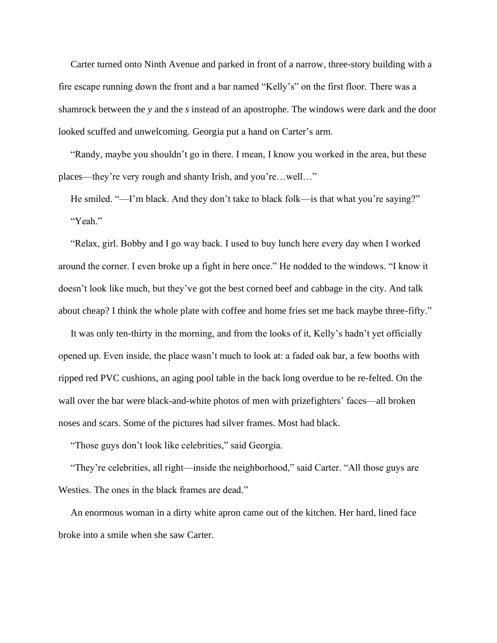Carter turned onto Ninth Avenue and parked in front of a narrow, three-story building with a fire escape running down the front and a bar named "Kelly's" on the first floor. There was a shamrock between the *y* and the *s* instead of an apostrophe. The windows were dark and the door looked scuffed and unwelcoming. Georgia put a hand on Carter's arm.

 "Randy, maybe you shouldn't go in there. I mean, I know you worked in the area, but these places—they're very rough and shanty Irish, and you're…well…"

 He smiled. "—I'm black. And they don't take to black folk—is that what you're saying?" "Yeah."

 "Relax, girl. Bobby and I go way back. I used to buy lunch here every day when I worked around the corner. I even broke up a fight in here once." He nodded to the windows. "I know it doesn't look like much, but they've got the best corned beef and cabbage in the city. And talk about cheap? I think the whole plate with coffee and home fries set me back maybe three-fifty."

 It was only ten-thirty in the morning, and from the looks of it, Kelly's hadn't yet officially opened up. Even inside, the place wasn't much to look at: a faded oak bar, a few booths with ripped red PVC cushions, an aging pool table in the back long overdue to be re-felted. On the wall over the bar were black-and-white photos of men with prizefighters' faces—all broken noses and scars. Some of the pictures had silver frames. Most had black.

"Those guys don't look like celebrities," said Georgia.

 "They're celebrities, all right—inside the neighborhood," said Carter. "All those guys are Westies. The ones in the black frames are dead."

 An enormous woman in a dirty white apron came out of the kitchen. Her hard, lined face broke into a smile when she saw Carter.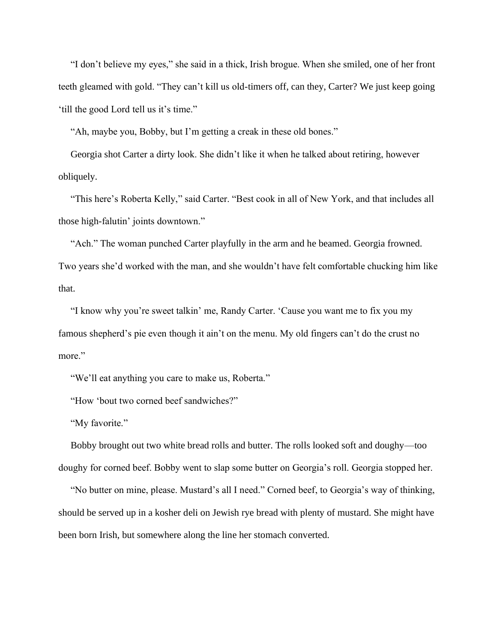"I don't believe my eyes," she said in a thick, Irish brogue. When she smiled, one of her front teeth gleamed with gold. "They can't kill us old-timers off, can they, Carter? We just keep going 'till the good Lord tell us it's time."

"Ah, maybe you, Bobby, but I'm getting a creak in these old bones."

 Georgia shot Carter a dirty look. She didn't like it when he talked about retiring, however obliquely.

 "This here's Roberta Kelly," said Carter. "Best cook in all of New York, and that includes all those high-falutin' joints downtown."

 "Ach." The woman punched Carter playfully in the arm and he beamed. Georgia frowned. Two years she'd worked with the man, and she wouldn't have felt comfortable chucking him like that.

 "I know why you're sweet talkin' me, Randy Carter. 'Cause you want me to fix you my famous shepherd's pie even though it ain't on the menu. My old fingers can't do the crust no more."

"We'll eat anything you care to make us, Roberta."

"How 'bout two corned beef sandwiches?"

"My favorite."

 Bobby brought out two white bread rolls and butter. The rolls looked soft and doughy—too doughy for corned beef. Bobby went to slap some butter on Georgia's roll. Georgia stopped her.

 "No butter on mine, please. Mustard's all I need." Corned beef, to Georgia's way of thinking, should be served up in a kosher deli on Jewish rye bread with plenty of mustard. She might have been born Irish, but somewhere along the line her stomach converted.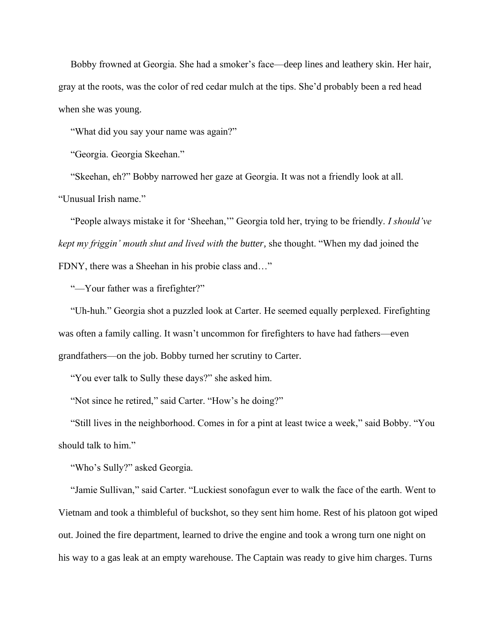Bobby frowned at Georgia. She had a smoker's face—deep lines and leathery skin. Her hair, gray at the roots, was the color of red cedar mulch at the tips. She'd probably been a red head when she was young.

"What did you say your name was again?"

"Georgia. Georgia Skeehan."

 "Skeehan, eh?" Bobby narrowed her gaze at Georgia. It was not a friendly look at all. "Unusual Irish name."

 "People always mistake it for 'Sheehan,'" Georgia told her, trying to be friendly. *I should've kept my friggin' mouth shut and lived with the butter,* she thought. "When my dad joined the FDNY, there was a Sheehan in his probie class and…"

"—Your father was a firefighter?"

 "Uh-huh." Georgia shot a puzzled look at Carter. He seemed equally perplexed. Firefighting was often a family calling. It wasn't uncommon for firefighters to have had fathers—even grandfathers—on the job. Bobby turned her scrutiny to Carter.

"You ever talk to Sully these days?" she asked him.

"Not since he retired," said Carter. "How's he doing?"

 "Still lives in the neighborhood. Comes in for a pint at least twice a week," said Bobby. "You should talk to him."

"Who's Sully?" asked Georgia.

 "Jamie Sullivan," said Carter. "Luckiest sonofagun ever to walk the face of the earth. Went to Vietnam and took a thimbleful of buckshot, so they sent him home. Rest of his platoon got wiped out. Joined the fire department, learned to drive the engine and took a wrong turn one night on his way to a gas leak at an empty warehouse. The Captain was ready to give him charges. Turns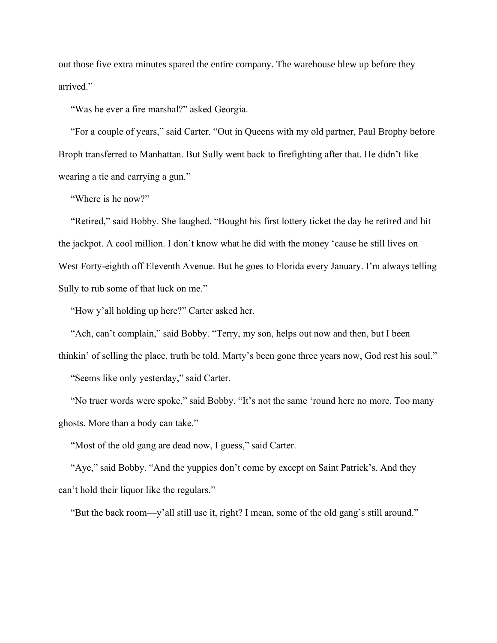out those five extra minutes spared the entire company. The warehouse blew up before they arrived."

"Was he ever a fire marshal?" asked Georgia.

 "For a couple of years," said Carter. "Out in Queens with my old partner, Paul Brophy before Broph transferred to Manhattan. But Sully went back to firefighting after that. He didn't like wearing a tie and carrying a gun."

"Where is he now?"

 "Retired," said Bobby. She laughed. "Bought his first lottery ticket the day he retired and hit the jackpot. A cool million. I don't know what he did with the money 'cause he still lives on West Forty-eighth off Eleventh Avenue. But he goes to Florida every January. I'm always telling Sully to rub some of that luck on me."

"How y'all holding up here?" Carter asked her.

 "Ach, can't complain," said Bobby. "Terry, my son, helps out now and then, but I been thinkin' of selling the place, truth be told. Marty's been gone three years now, God rest his soul." "Seems like only yesterday," said Carter.

 "No truer words were spoke," said Bobby. "It's not the same 'round here no more. Too many ghosts. More than a body can take."

"Most of the old gang are dead now, I guess," said Carter.

 "Aye," said Bobby. "And the yuppies don't come by except on Saint Patrick's. And they can't hold their liquor like the regulars."

"But the back room—y'all still use it, right? I mean, some of the old gang's still around."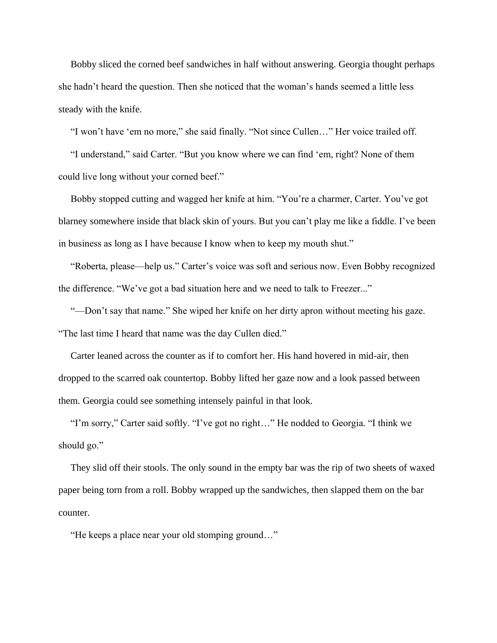Bobby sliced the corned beef sandwiches in half without answering. Georgia thought perhaps she hadn't heard the question. Then she noticed that the woman's hands seemed a little less steady with the knife.

"I won't have 'em no more," she said finally. "Not since Cullen…" Her voice trailed off.

 "I understand," said Carter. "But you know where we can find 'em, right? None of them could live long without your corned beef."

 Bobby stopped cutting and wagged her knife at him. "You're a charmer, Carter. You've got blarney somewhere inside that black skin of yours. But you can't play me like a fiddle. I've been in business as long as I have because I know when to keep my mouth shut."

 "Roberta, please—help us." Carter's voice was soft and serious now. Even Bobby recognized the difference. "We've got a bad situation here and we need to talk to Freezer..."

 "—Don't say that name." She wiped her knife on her dirty apron without meeting his gaze. "The last time I heard that name was the day Cullen died."

 Carter leaned across the counter as if to comfort her. His hand hovered in mid-air, then dropped to the scarred oak countertop. Bobby lifted her gaze now and a look passed between them. Georgia could see something intensely painful in that look.

 "I'm sorry," Carter said softly. "I've got no right…" He nodded to Georgia. "I think we should go."

 They slid off their stools. The only sound in the empty bar was the rip of two sheets of waxed paper being torn from a roll. Bobby wrapped up the sandwiches, then slapped them on the bar counter.

"He keeps a place near your old stomping ground…"